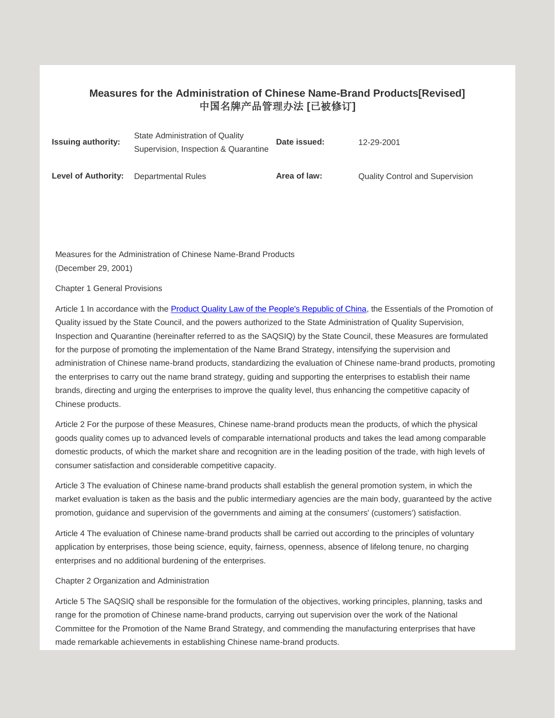## **Measures for the Administration of Chinese Name-Brand Products[Revised]** 中国名牌产品管理办法 **[**已被修订**]**

| <b>Issuing authority:</b>  | State Administration of Quality<br>Supervision, Inspection & Quarantine | Date issued: | 12-29-2001                             |
|----------------------------|-------------------------------------------------------------------------|--------------|----------------------------------------|
| <b>Level of Authority:</b> | <b>Departmental Rules</b>                                               | Area of law: | <b>Quality Control and Supervision</b> |

Measures for the Administration of Chinese Name-Brand Products (December 29, 2001)

Chapter 1 General Provisions

Article 1 In accordance with th[e Product Quality Law of the People's Republic of China,](javascript:ESLC(29404,0)) the Essentials of the Promotion of Quality issued by the State Council, and the powers authorized to the State Administration of Quality Supervision, Inspection and Quarantine (hereinafter referred to as the SAQSIQ) by the State Council, these Measures are formulated for the purpose of promoting the implementation of the Name Brand Strategy, intensifying the supervision and administration of Chinese name-brand products, standardizing the evaluation of Chinese name-brand products, promoting the enterprises to carry out the name brand strategy, guiding and supporting the enterprises to establish their name brands, directing and urging the enterprises to improve the quality level, thus enhancing the competitive capacity of Chinese products.

Article 2 For the purpose of these Measures, Chinese name-brand products mean the products, of which the physical goods quality comes up to advanced levels of comparable international products and takes the lead among comparable domestic products, of which the market share and recognition are in the leading position of the trade, with high levels of consumer satisfaction and considerable competitive capacity.

Article 3 The evaluation of Chinese name-brand products shall establish the general promotion system, in which the market evaluation is taken as the basis and the public intermediary agencies are the main body, guaranteed by the active promotion, guidance and supervision of the governments and aiming at the consumers' (customers') satisfaction.

Article 4 The evaluation of Chinese name-brand products shall be carried out according to the principles of voluntary application by enterprises, those being science, equity, fairness, openness, absence of lifelong tenure, no charging enterprises and no additional burdening of the enterprises.

Chapter 2 Organization and Administration

Article 5 The SAQSIQ shall be responsible for the formulation of the objectives, working principles, planning, tasks and range for the promotion of Chinese name-brand products, carrying out supervision over the work of the National Committee for the Promotion of the Name Brand Strategy, and commending the manufacturing enterprises that have made remarkable achievements in establishing Chinese name-brand products.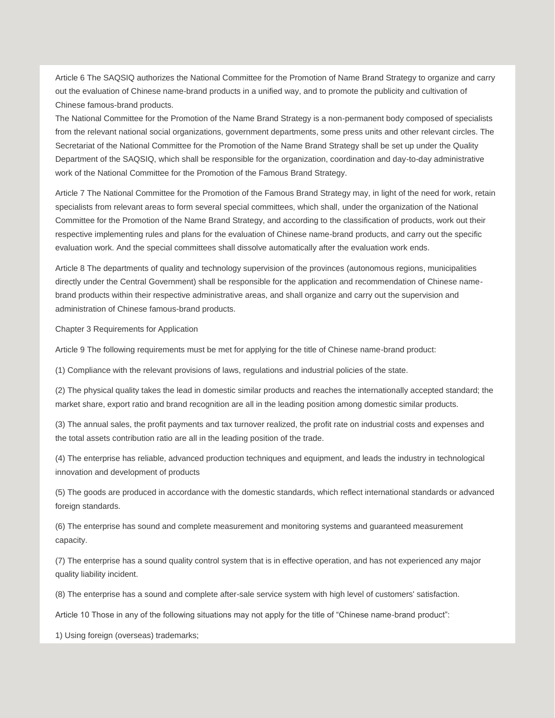Article 6 The SAQSIQ authorizes the National Committee for the Promotion of Name Brand Strategy to organize and carry out the evaluation of Chinese name-brand products in a unified way, and to promote the publicity and cultivation of Chinese famous-brand products.

The National Committee for the Promotion of the Name Brand Strategy is a non-permanent body composed of specialists from the relevant national social organizations, government departments, some press units and other relevant circles. The Secretariat of the National Committee for the Promotion of the Name Brand Strategy shall be set up under the Quality Department of the SAQSIQ, which shall be responsible for the organization, coordination and day-to-day administrative work of the National Committee for the Promotion of the Famous Brand Strategy.

Article 7 The National Committee for the Promotion of the Famous Brand Strategy may, in light of the need for work, retain specialists from relevant areas to form several special committees, which shall, under the organization of the National Committee for the Promotion of the Name Brand Strategy, and according to the classification of products, work out their respective implementing rules and plans for the evaluation of Chinese name-brand products, and carry out the specific evaluation work. And the special committees shall dissolve automatically after the evaluation work ends.

Article 8 The departments of quality and technology supervision of the provinces (autonomous regions, municipalities directly under the Central Government) shall be responsible for the application and recommendation of Chinese namebrand products within their respective administrative areas, and shall organize and carry out the supervision and administration of Chinese famous-brand products.

Chapter 3 Requirements for Application

Article 9 The following requirements must be met for applying for the title of Chinese name-brand product:

(1) Compliance with the relevant provisions of laws, regulations and industrial policies of the state.

(2) The physical quality takes the lead in domestic similar products and reaches the internationally accepted standard; the market share, export ratio and brand recognition are all in the leading position among domestic similar products.

(3) The annual sales, the profit payments and tax turnover realized, the profit rate on industrial costs and expenses and the total assets contribution ratio are all in the leading position of the trade.

(4) The enterprise has reliable, advanced production techniques and equipment, and leads the industry in technological innovation and development of products

(5) The goods are produced in accordance with the domestic standards, which reflect international standards or advanced foreign standards.

(6) The enterprise has sound and complete measurement and monitoring systems and guaranteed measurement capacity.

(7) The enterprise has a sound quality control system that is in effective operation, and has not experienced any major quality liability incident.

(8) The enterprise has a sound and complete after-sale service system with high level of customers' satisfaction.

Article 10 Those in any of the following situations may not apply for the title of "Chinese name-brand product":

1) Using foreign (overseas) trademarks;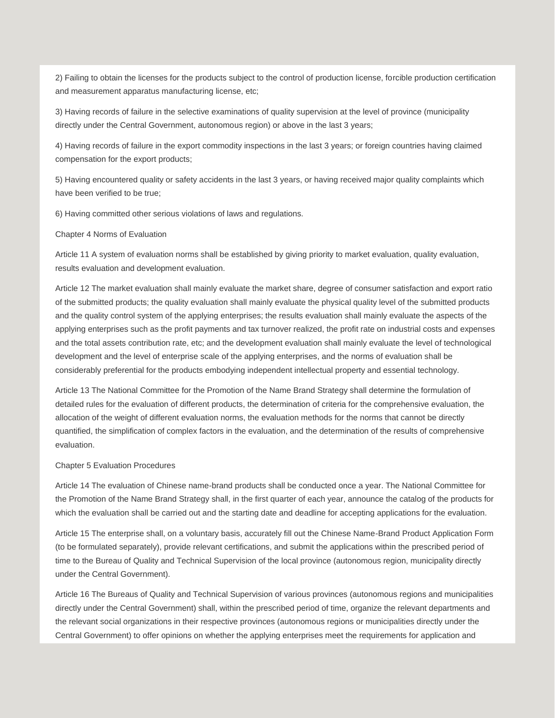2) Failing to obtain the licenses for the products subject to the control of production license, forcible production certification and measurement apparatus manufacturing license, etc;

3) Having records of failure in the selective examinations of quality supervision at the level of province (municipality directly under the Central Government, autonomous region) or above in the last 3 years;

4) Having records of failure in the export commodity inspections in the last 3 years; or foreign countries having claimed compensation for the export products;

5) Having encountered quality or safety accidents in the last 3 years, or having received major quality complaints which have been verified to be true;

6) Having committed other serious violations of laws and regulations.

## Chapter 4 Norms of Evaluation

Article 11 A system of evaluation norms shall be established by giving priority to market evaluation, quality evaluation, results evaluation and development evaluation.

Article 12 The market evaluation shall mainly evaluate the market share, degree of consumer satisfaction and export ratio of the submitted products; the quality evaluation shall mainly evaluate the physical quality level of the submitted products and the quality control system of the applying enterprises; the results evaluation shall mainly evaluate the aspects of the applying enterprises such as the profit payments and tax turnover realized, the profit rate on industrial costs and expenses and the total assets contribution rate, etc; and the development evaluation shall mainly evaluate the level of technological development and the level of enterprise scale of the applying enterprises, and the norms of evaluation shall be considerably preferential for the products embodying independent intellectual property and essential technology.

Article 13 The National Committee for the Promotion of the Name Brand Strategy shall determine the formulation of detailed rules for the evaluation of different products, the determination of criteria for the comprehensive evaluation, the allocation of the weight of different evaluation norms, the evaluation methods for the norms that cannot be directly quantified, the simplification of complex factors in the evaluation, and the determination of the results of comprehensive evaluation.

## Chapter 5 Evaluation Procedures

Article 14 The evaluation of Chinese name-brand products shall be conducted once a year. The National Committee for the Promotion of the Name Brand Strategy shall, in the first quarter of each year, announce the catalog of the products for which the evaluation shall be carried out and the starting date and deadline for accepting applications for the evaluation.

Article 15 The enterprise shall, on a voluntary basis, accurately fill out the Chinese Name-Brand Product Application Form (to be formulated separately), provide relevant certifications, and submit the applications within the prescribed period of time to the Bureau of Quality and Technical Supervision of the local province (autonomous region, municipality directly under the Central Government).

Article 16 The Bureaus of Quality and Technical Supervision of various provinces (autonomous regions and municipalities directly under the Central Government) shall, within the prescribed period of time, organize the relevant departments and the relevant social organizations in their respective provinces (autonomous regions or municipalities directly under the Central Government) to offer opinions on whether the applying enterprises meet the requirements for application and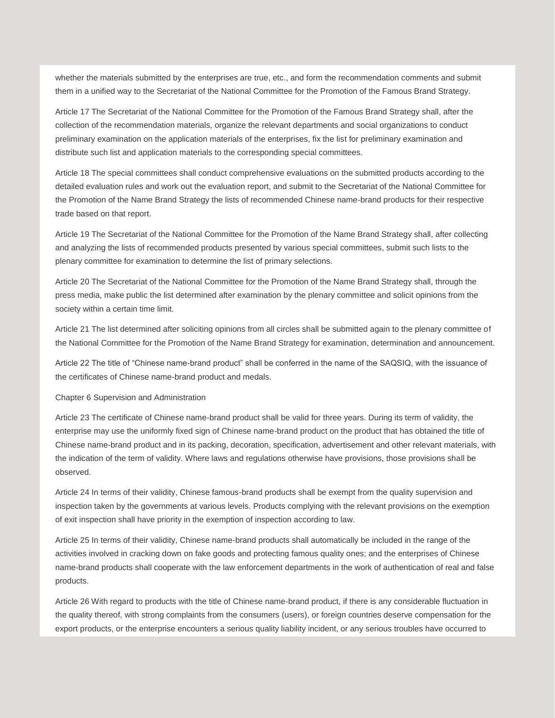whether the materials submitted by the enterprises are true, etc., and form the recommendation comments and submit them in a unified way to the Secretariat of the National Committee for the Promotion of the Famous Brand Strategy.

Article 17 The Secretariat of the National Committee for the Promotion of the Famous Brand Strategy shall, after the collection of the recommendation materials, organize the relevant departments and social organizations to conduct preliminary examination on the application materials of the enterprises, fix the list for preliminary examination and distribute such list and application materials to the corresponding special committees.

Article 18 The special committees shall conduct comprehensive evaluations on the submitted products according to the detailed evaluation rules and work out the evaluation report, and submit to the Secretariat of the National Committee for the Promotion of the Name Brand Strategy the lists of recommended Chinese name-brand products for their respective trade based on that report.

Article 19 The Secretariat of the National Committee for the Promotion of the Name Brand Strategy shall, after collecting and analyzing the lists of recommended products presented by various special committees, submit such lists to the plenary committee for examination to determine the list of primary selections.

Article 20 The Secretariat of the National Committee for the Promotion of the Name Brand Strategy shall, through the press media, make public the list determined after examination by the plenary committee and solicit opinions from the society within a certain time limit.

Article 21 The list determined after soliciting opinions from all circles shall be submitted again to the plenary committee of the National Committee for the Promotion of the Name Brand Strategy for examination, determination and announcement.

Article 22 The title of "Chinese name-brand product" shall be conferred in the name of the SAQSIQ, with the issuance of the certificates of Chinese name-brand product and medals.

## Chapter 6 Supervision and Administration

Article 23 The certificate of Chinese name-brand product shall be valid for three years. During its term of validity, the enterprise may use the uniformly fixed sign of Chinese name-brand product on the product that has obtained the title of Chinese name-brand product and in its packing, decoration, specification, advertisement and other relevant materials, with the indication of the term of validity. Where laws and regulations otherwise have provisions, those provisions shall be observed.

Article 24 In terms of their validity, Chinese famous-brand products shall be exempt from the quality supervision and inspection taken by the governments at various levels. Products complying with the relevant provisions on the exemption of exit inspection shall have priority in the exemption of inspection according to law.

Article 25 In terms of their validity, Chinese name-brand products shall automatically be included in the range of the activities involved in cracking down on fake goods and protecting famous quality ones; and the enterprises of Chinese name-brand products shall cooperate with the law enforcement departments in the work of authentication of real and false products.

Article 26 With regard to products with the title of Chinese name-brand product, if there is any considerable fluctuation in the quality thereof, with strong complaints from the consumers (users), or foreign countries deserve compensation for the export products, or the enterprise encounters a serious quality liability incident, or any serious troubles have occurred to